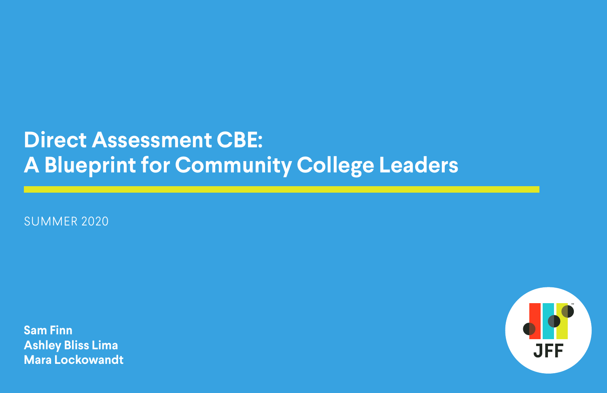# **Direct Assessment CBE: A Blueprint for Community College Leaders**

SUMMER 2020

**Sam Finn Ashley Bliss Lima Mara Lockowandt**



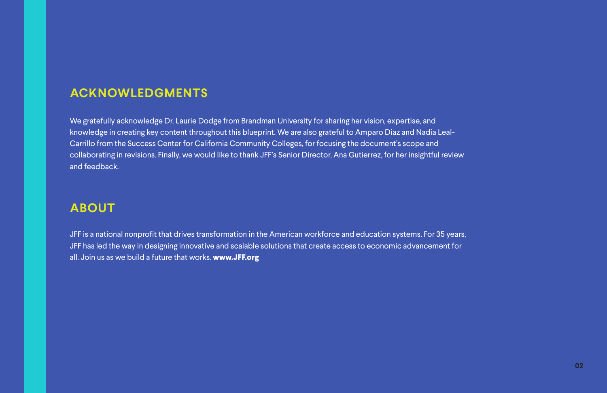## **ACKNOWLEDGMENTS**

We gratefully acknowledge Dr. Laurie Dodge from Brandman University for sharing her vision, expertise, and knowledge in creating key content throughout this blueprint. We are also grateful to Amparo Diaz and Nadia Leal-Carrillo from the Success Center for California Community Colleges, for focusing the document's scope and collaborating in revisions. Finally, we would like to thank JFF's Senior Director, Ana Gutierrez, for her insightful review and feedback.

## **ABOUT**

JFF is a national nonprofit that drives transformation in the American workforce and education systems. For 35 years, JFF has led the way in designing innovative and scalable solutions that create access to economic advancement for all. Join us as we build a future that works. **[www.JFF.org](https://www.jff.org/)**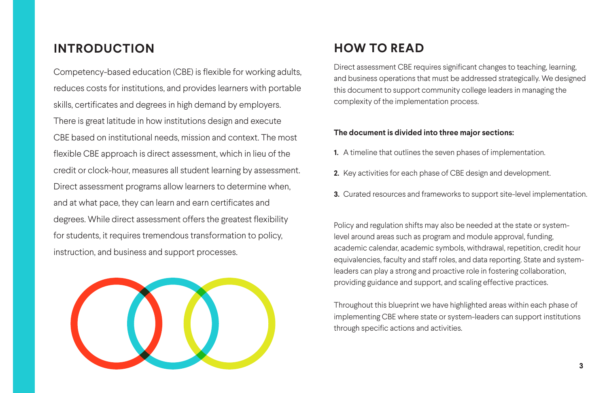## **HOW TO READ**

Direct assessment CBE requires significant changes to teaching, learning, and business operations that must be addressed strategically. We designed this document to support community college leaders in managing the complexity of the implementation process.

### **The document is divided into three major sections:**

- **1.** A timeline that outlines the seven phases of implementation.
- **2.** Key activities for each phase of CBE design and development.
- 

**3.** Curated resources and frameworks to support site-level implementation.

Policy and regulation shifts may also be needed at the state or systemlevel around areas such as program and module approval, funding, academic calendar, academic symbols, withdrawal, repetition, credit hour equivalencies, faculty and staff roles, and data reporting. State and systemleaders can play a strong and proactive role in fostering collaboration, providing guidance and support, and scaling effective practices.

Throughout this blueprint we have highlighted areas within each phase of implementing CBE where state or system-leaders can support institutions through specific actions and activities.

## **INTRODUCTION**

Competency-based education (CBE) is flexible for working adults, reduces costs for institutions, and provides learners with portable skills, certificates and degrees in high demand by employers. There is great latitude in how institutions design and execute CBE based on institutional needs, mission and context. The most flexible CBE approach is direct assessment, which in lieu of the credit or clock-hour, measures all student learning by assessment. Direct assessment programs allow learners to determine when, and at what pace, they can learn and earn certificates and degrees. While direct assessment offers the greatest flexibility for students, it requires tremendous transformation to policy, instruction, and business and support processes.

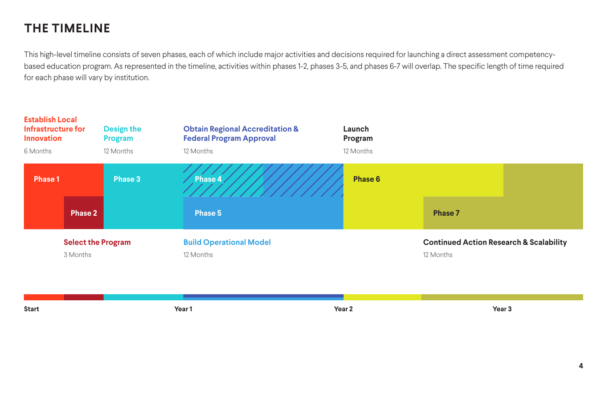## **THE TIMELINE**

This high-level timeline consists of seven phases, each of which include major activities and decisions required for launching a direct assessment competencybased education program. As represented in the timeline, activities within phases 1-2, phases 3-5, and phases 6-7 will overlap. The specific length of time required for each phase will vary by institution.

**Start Year 1 Year 2 Year 3**





### **Continued Action Research & Scalability**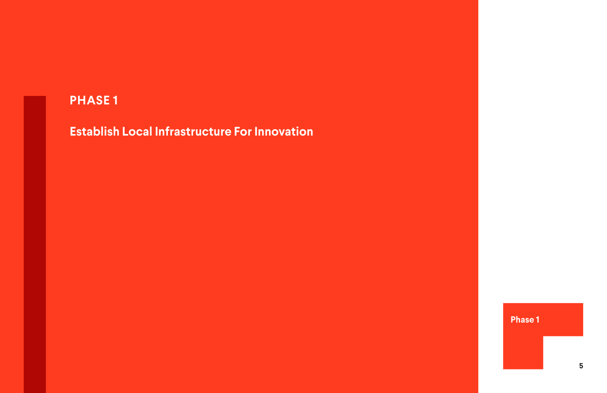**Establish Local Infrastructure For Innovation**

## **Phase 1**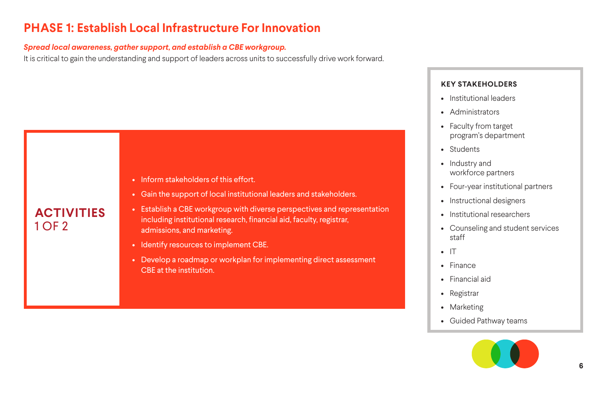### *Spread local awareness, gather support, and establish a CBE workgroup.*

It is critical to gain the understanding and support of leaders across units to successfully drive work forward.

## **PHASE 1: Establish Local Infrastructure For Innovation**

- Institutional leaders
- Administrators
- Faculty from target program's department
- Students
- Industry and workforce partners
- Four-year institutional partners
- Instructional designers
- Institutional researchers
- Counseling and student services staff
- IT
- Finance
- Financial aid
- Registrar
- Marketing
- Guided Pathway teams



## **KEY STAKEHOLDERS**

## **ACTIVITIES** 1 OF 2



• Gain the support of local institutional leaders and stakeholders.

- Establish a CBE workgroup with diverse perspectives and representation including institutional research, financial aid, faculty, registrar, admissions, and marketing.
- Identify resources to implement CBE.
- Develop a roadmap or workplan for implementing direct assessment CBE at the institution.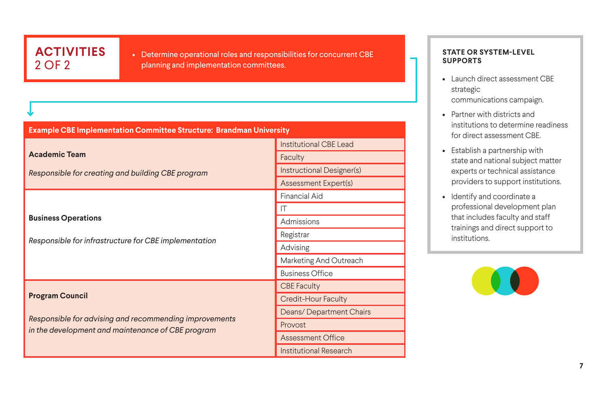• Launch direct assessment CBE strategic

## **ACTIVITIES** 2 OF 2

• Determine operational roles and responsibilities for concurrent CBE planning and implementation committees.

communications campaign.

• Partner with districts and institutions to determine readiness for direct assessment CBE.

### **Academic Team**  *Responsible for creating and building CBE program* **Business Operations** *Responsible for infrastructure for CBE implementation* **Program Council** *Responsible for advising and recommending improvements in the development and maintenance of CBE program* **Example CBE Implementation Committee Structure: Brandman University** Institutional CBE Lead **Faculty** Instructional Designer(s) Assessment Expert(s) Financial Aid IT **Admissions** Registrar Advising Marketing And Outreach Business Office CBE Faculty Credit-Hour Faculty Deans/ Department Chairs Provost Assessment Office Institutional Research

• Establish a partnership with state and national subject matter experts or technical assistance providers to support institutions.

• Identify and coordinate a professional development plan that includes faculty and staff trainings and direct support to institutions.



### **STATE OR SYSTEM-LEVEL SUPPORTS**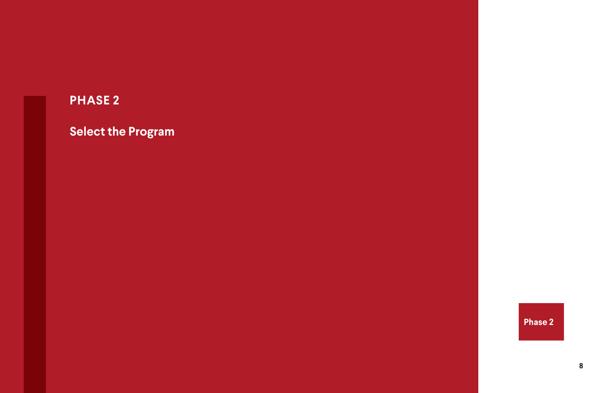**Select the Program**

## **Phase 2**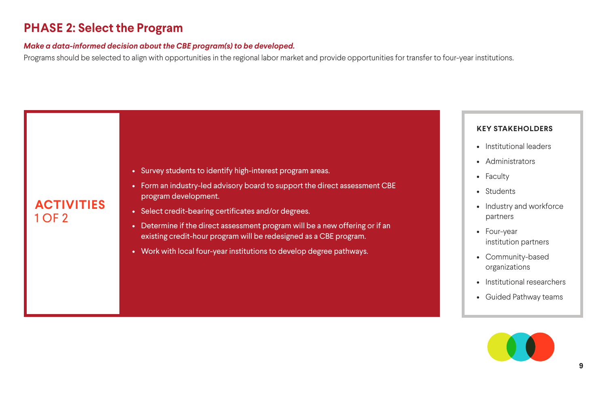### *Make a data-informed decision about the CBE program(s) to be developed.*

Programs should be selected to align with opportunities in the regional labor market and provide opportunities for transfer to four-year institutions.

## **PHASE 2: Select the Program**

- Institutional leaders
- Administrators
- Faculty
- Students
- Industry and workforce partners
- Four-year institution partners
- Community-based organizations
- Institutional researchers
- Guided Pathway teams



## **KEY STAKEHOLDERS**

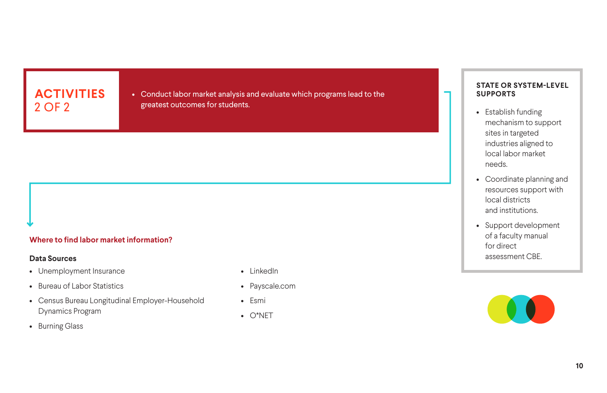### **Where to find labor market information?**

### **Data Sources**

- Unemployment Insurance
- Bureau of Labor Statistics
- Census Bureau Longitudinal Employer-Household Dynamics Program
- Burning Glass
- LinkedIn
- Payscale.com
- Esmi
- O\*NET

## **ACTIVITIES** 2 OF 2

• Conduct labor market analysis and evaluate which programs lead to the greatest outcomes for students.

- Establish funding mechanism to support sites in targeted industries aligned to local labor market needs.
- Coordinate planning and resources support with local districts and institutions.
- Support development of a faculty manual for direct assessment CBE.



### **STATE OR SYSTEM-LEVEL SUPPORTS**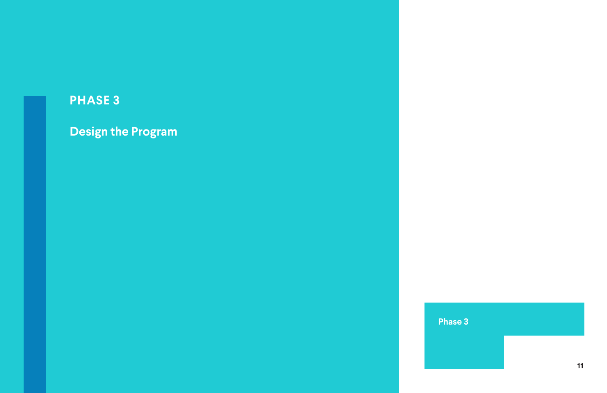## **Design the Program**

## **Phase 3**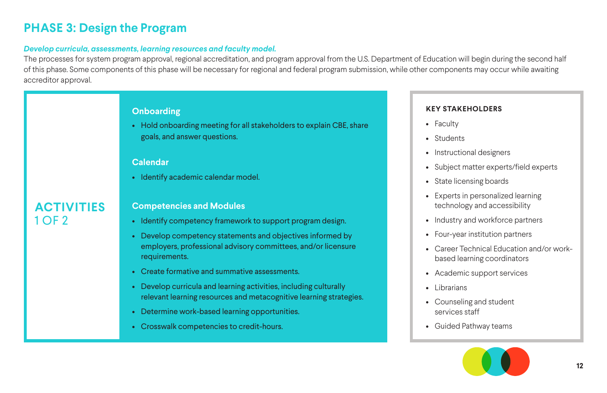### *Develop curricula, assessments, learning resources and faculty model.*

The processes for system program approval, regional accreditation, and program approval from the U.S. Department of Education will begin during the second half of this phase. Some components of this phase will be necessary for regional and federal program submission, while other components may occur while awaiting accreditor approval.

- Industry and workforce partners
- Four-year institution partners

## **PHASE 3: Design the Program**

- 
- Instructional designers
- Subject matter experts/field experts
- Faculty
- Students
- 
- 
- State licensing boards
- Experts in personalized learning technology and accessibility
- 
- 
- Career Technical Education and/or workbased learning coordinators
- Academic support services
- 
- Counseling and student services staff
- 
- Librarians
- Guided Pathway teams



## **KEY STAKEHOLDERS**

## **ACTIVITIES** 1 OF 2

### **Onboarding**

• Hold onboarding meeting for all stakeholders to explain CBE, share goals, and answer questions.

### **Calendar**

• Identify academic calendar model.

### **Competencies and Modules**

- Identify competency framework to support program design.
- Develop competency statements and objectives informed by employers, professional advisory committees, and/or licensure requirements.
- Create formative and summative assessments.
- Develop curricula and learning activities, including culturally relevant learning resources and metacognitive learning strategies.
- Determine work-based learning opportunities.
- Crosswalk competencies to credit-hours.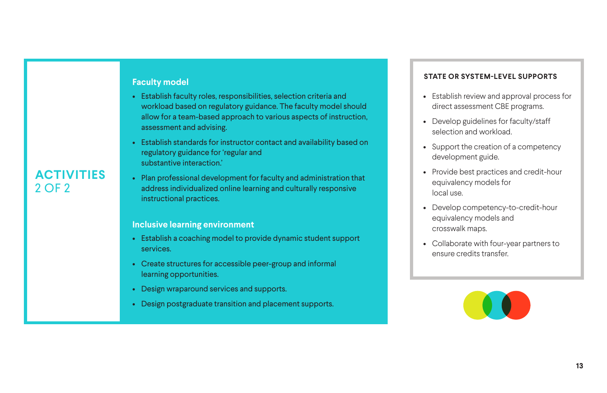• Establish review and approval process for direct assessment CBE programs.

• Develop guidelines for faculty/staff selection and workload.

• Support the creation of a competency development guide.

• Provide best practices and credit-hour equivalency models for local use.

• Develop competency-to-credit-hour equivalency models and crosswalk maps.

• Collaborate with four-year partners to ensure credits transfer.



**ACTIVITIES**

2 OF 2

## **Faculty model**

- Establish faculty roles, responsibilities, selection criteria and workload based on regulatory guidance. The faculty model should allow for a team-based approach to various aspects of instruction, assessment and advising.
- Establish standards for instructor contact and availability based on regulatory guidance for 'regular and substantive interaction.'
- Plan professional development for faculty and administration that address individualized online learning and culturally responsive instructional practices.

### **Inclusive learning environment**

- Establish a coaching model to provide dynamic student support services.
- Create structures for accessible peer-group and informal learning opportunities.
- Design wraparound services and supports.
- Design postgraduate transition and placement supports.

- 
- 
- 
- 
- 
- 

## **STATE OR SYSTEM-LEVEL SUPPORTS**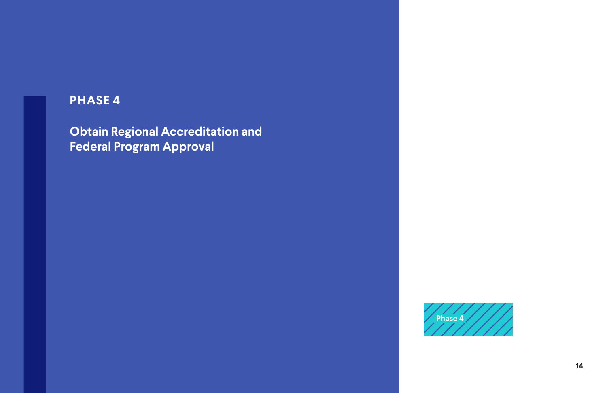**Obtain Regional Accreditation and Federal Program Approval**

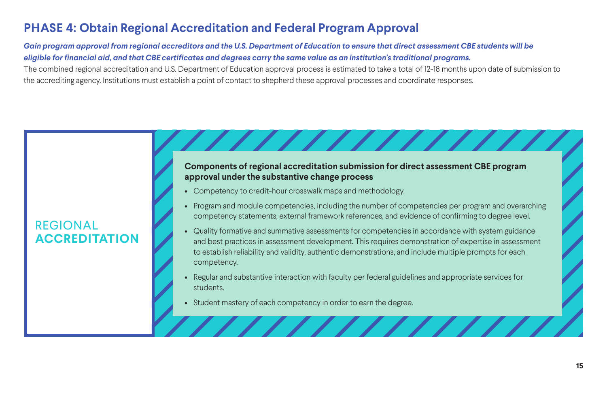*Gain program approval from regional accreditors and the U.S. Department of Education to ensure that direct assessment CBE students will be eligible for financial aid, and that CBE certificates and degrees carry the same value as an institution's traditional programs.* The combined regional accreditation and U.S. Department of Education approval process is estimated to take a total of 12-18 months upon date of submission to the accrediting agency. Institutions must establish a point of contact to shepherd these approval processes and coordinate responses.

## **PHASE 4: Obtain Regional Accreditation and Federal Program Approval**

## REGIONAL **ACCREDITATION**

### **Components of regional accreditation submission for direct assessment CBE program approval under the substantive change process**

11111111111

- Competency to credit-hour crosswalk maps and methodology.
- Program and module competencies, including the number of competencies per program and overarching competency statements, external framework references, and evidence of confirming to degree level.
- Quality formative and summative assessments for competencies in accordance with system guidance and best practices in assessment development. This requires demonstration of expertise in assessment to establish reliability and validity, authentic demonstrations, and include multiple prompts for each competency.
- Regular and substantive interaction with faculty per federal guidelines and appropriate services for students.
- Student mastery of each competency in order to earn the degree.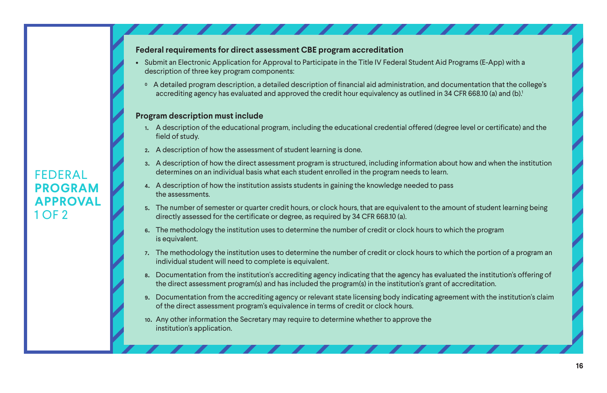## FEDERAL **PROGRAM APPROVAL** 1 OF 2

- Submit an Electronic Application for Approval to Participate in the Title IV Federal Student Aid Programs (E-App) with a description of three key program components:
	- 0 A detailed program description, a detailed description of financial aid administration, and documentation that the college's accrediting agency has evaluated and approved the credit hour equivalency as outlined in 34 CFR 668.10 (a) and (b).<sup>1</sup>

### <span id="page-15-0"></span>**Federal requirements for direct assessment CBE program accreditation**

### **Program description must include**

- 1. A description of the educational program, including the educational credential offered (degree level or certificate) and the field of study.
- 2. A description of how the assessment of student learning is done.
- 3. A description of how the direct assessment program is structured, including information about how and when the institution determines on an individual basis what each student enrolled in the program needs to learn.
- 4. A description of how the institution assists students in gaining the knowledge needed to pass the assessments.
- 5. The number of semester or quarter credit hours, or clock hours, that are equivalent to the amount of student learning being directly assessed for the certificate or degree, as required by 34 CFR 668.10 (a).
- 6. The methodology the institution uses to determine the number of credit or clock hours to which the program is equivalent.
- 7. The methodology the institution uses to determine the number of credit or clock hours to which the portion of a program an individual student will need to complete is equivalent.
- 8. Documentation from the institution's accrediting agency indicating that the agency has evaluated the institution's offering of the direct assessment program(s) and has included the program(s) in the institution's grant of accreditation.
- 9. Documentation from the accrediting agency or relevant state licensing body indicating agreement with the institution's claim of the direct assessment program's equivalence in terms of credit or clock hours.
- 10. Any other information the Secretary may require to determine whether to approve the institution's application.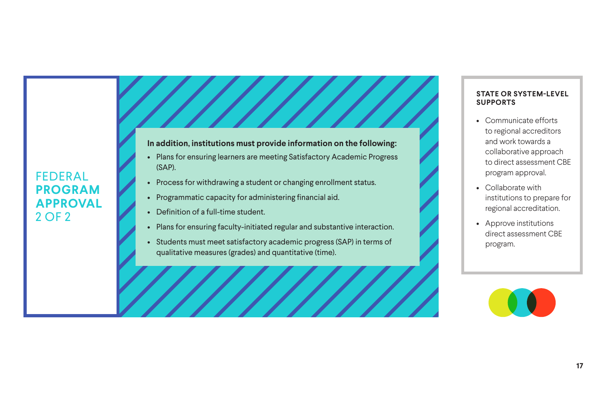- Communicate efforts to regional accreditors and work towards a collaborative approach to direct assessment CBE program approval.
- Collaborate with institutions to prepare for regional accreditation.
- Approve institutions direct assessment CBE program.



### **STATE OR SYSTEM-LEVEL SUPPORTS**

## FEDERAL **PROGRAM APPROVAL** 2 OF 2

### **In addition, institutions must provide information on the following:**

- Plans for ensuring learners are meeting Satisfactory Academic Progress (SAP).
- Process for withdrawing a student or changing enrollment status.
- Programmatic capacity for administering financial aid.
- Definition of a full-time student.
- Plans for ensuring faculty-initiated regular and substantive interaction.
- Students must meet satisfactory academic progress (SAP) in terms of qualitative measures (grades) and quantitative (time).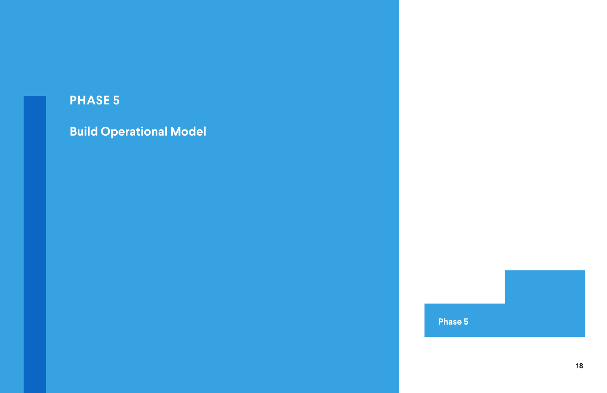**Build Operational Model**

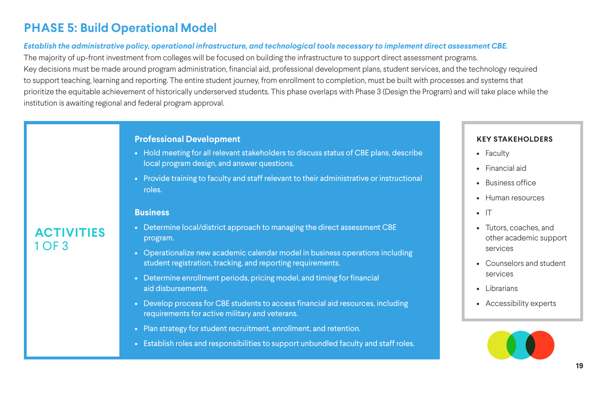### *Establish the administrative policy, operational infrastructure, and technological tools necessary to implement direct assessment CBE.*

The majority of up-front investment from colleges will be focused on building the infrastructure to support direct assessment programs. Key decisions must be made around program administration, financial aid, professional development plans, student services, and the technology required to support teaching, learning and reporting. The entire student journey, from enrollment to completion, must be built with processes and systems that prioritize the equitable achievement of historically underserved students. This phase overlaps with Phase 3 (Design the Program) and will take place while the institution is awaiting regional and federal program approval.

- Faculty
- Financial aid
- Business office
- Human resources
- $\bullet$  IT
- Tutors, coaches, and other academic support services
- Counselors and student services
- Librarians
- Accessibility experts



### **KEY STAKEHOLDERS**

## **PHASE 5: Build Operational Model**

**ACTIVITIES**

1 OF 3

### **Professional Development**

- Hold meeting for all relevant stakeholders to discuss status of CBE plans, describe local program design, and answer questions.
- Provide training to faculty and staff relevant to their administrative or instructional roles.

### **Business**

### • Determine local/district approach to managing the direct assessment CBE program.

- Operationalize new academic calendar model in business operations including student registration, tracking, and reporting requirements.
- Determine enrollment periods, pricing model, and timing for financial aid disbursements.
- Develop process for CBE students to access financial aid resources, including requirements for active military and veterans.
- Plan strategy for student recruitment, enrollment, and retention.
- Establish roles and responsibilities to support unbundled faculty and staff roles.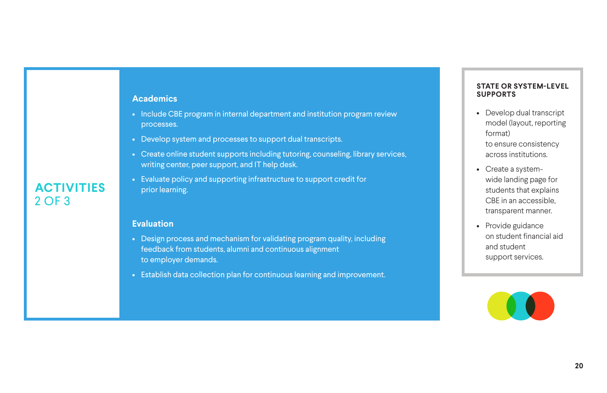- Develop dual transcript model (layout, reporting format) to ensure consistency across institutions.
- Create a systemwide landing page for students that explains CBE in an accessible, transparent manner.
- Provide guidance on student financial aid and student support services.



### **STATE OR SYSTEM-LEVEL SUPPORTS**

**ACTIVITIES** 2 OF 3

### **Academics**

- Include CBE program in internal department and institution program review processes.
- Develop system and processes to support dual transcripts.
- Create online student supports including tutoring, counseling, library services, writing center, peer support, and IT help desk.
- Evaluate policy and supporting infrastructure to support credit for prior learning.

### **Evaluation**

- Design process and mechanism for validating program quality, including feedback from students, alumni and continuous alignment to employer demands.
- Establish data collection plan for continuous learning and improvement.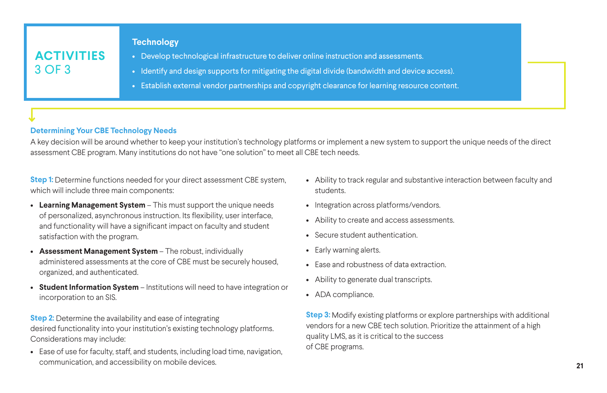**Step 1:** Determine functions needed for your direct assessment CBE system, which will include three main components:

- **Learning Management System** This must support the unique needs of personalized, asynchronous instruction. Its flexibility, user interface, and functionality will have a significant impact on faculty and student satisfaction with the program.
- **Assessment Management System**  The robust, individually administered assessments at the core of CBE must be securely housed, organized, and authenticated.
- **Student Information System** Institutions will need to have integration or incorporation to an SIS.

**Step 2:** Determine the availability and ease of integrating desired functionality into your institution's existing technology platforms. Considerations may include:

• Ease of use for faculty, staff, and students, including load time, navigation, communication, and accessibility on mobile devices.

- Ability to track regular and substantive interaction between faculty and students.
- Integration across platforms/vendors.
- Ability to create and access assessments.
- Secure student authentication.
- Early warning alerts.
- Ease and robustness of data extraction.
- Ability to generate dual transcripts.
- ADA compliance.

**Step 3:** Modify existing platforms or explore partnerships with additional vendors for a new CBE tech solution. Prioritize the attainment of a high quality LMS, as it is critical to the success of CBE programs.



## **ACTIVITIES** 3 OF 3

### **Technology**

- Develop technological infrastructure to deliver online instruction and assessments.
- Identify and design supports for mitigating the digital divide (bandwidth and device access).
- Establish external vendor partnerships and copyright clearance for learning resource content.

### **Determining Your CBE Technology Needs**

A key decision will be around whether to keep your institution's technology platforms or implement a new system to support the unique needs of the direct assessment CBE program. Many institutions do not have "one solution" to meet all CBE tech needs.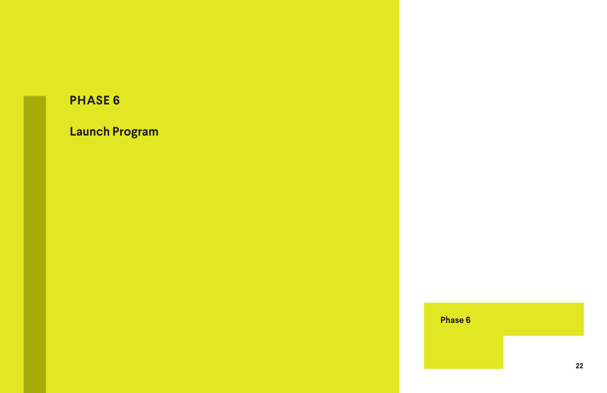## **Launch Program**

## **Phase 6**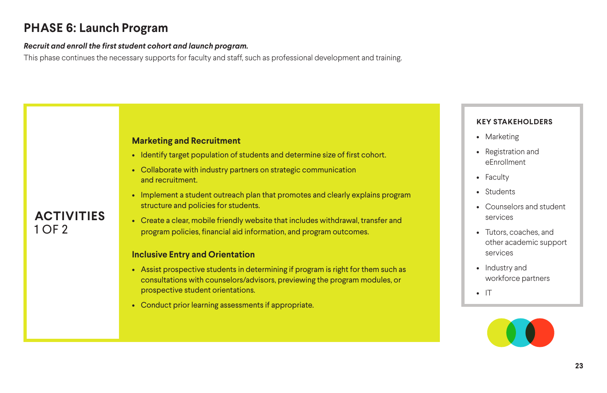### *Recruit and enroll the first student cohort and launch program.*

This phase continues the necessary supports for faculty and staff, such as professional development and training.

## **PHASE 6: Launch Program**

- Marketing
- Registration and eEnrollment
- Faculty
- Students
- Counselors and student services
- Tutors, coaches, and other academic support services
- Industry and workforce partners
- IT



### **KEY STAKEHOLDERS**

## **ACTIVITIES** 1 OF 2

### **Marketing and Recruitment**

- Identify target population of students and determine size of first cohort.
- Collaborate with industry partners on strategic communication and recruitment.
- Implement a student outreach plan that promotes and clearly explains program structure and policies for students.
- Create a clear, mobile friendly website that includes withdrawal, transfer and program policies, financial aid information, and program outcomes.

### **Inclusive Entry and Orientation**

- Assist prospective students in determining if program is right for them such as consultations with counselors/advisors, previewing the program modules, or prospective student orientations.
- Conduct prior learning assessments if appropriate.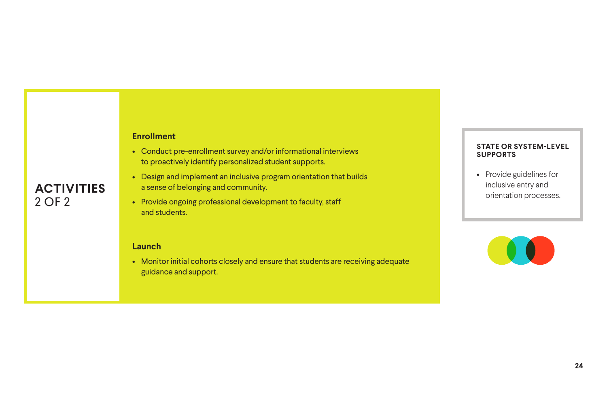## **ACTIVITIES** 2 OF 2

### **Enrollment**

- Conduct pre-enrollment survey and/or informational interviews to proactively identify personalized student supports.
- Design and implement an inclusive program orientation that builds a sense of belonging and community.
- Provide ongoing professional development to faculty, staff and students.

### **Launch**

• Monitor initial cohorts closely and ensure that students are receiving adequate guidance and support.

• Provide guidelines for inclusive entry and orientation processes.



### **STATE OR SYSTEM-LEVEL SUPPORTS**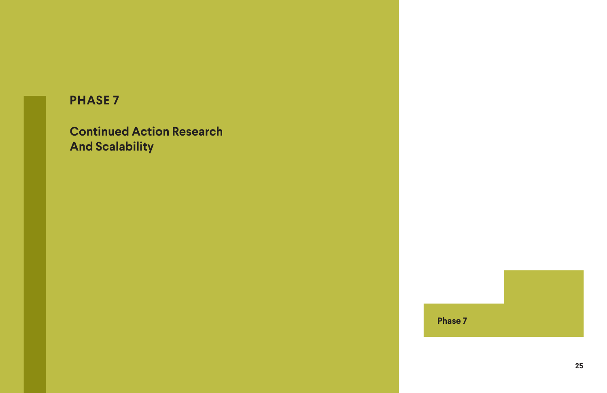**Continued Action Research And Scalability**

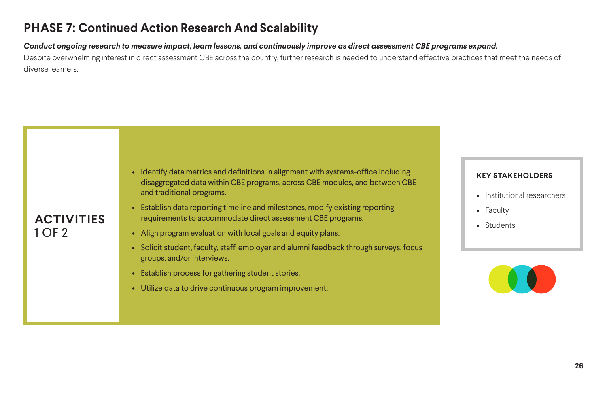*Conduct ongoing research to measure impact, learn lessons, and continuously improve as direct assessment CBE programs expand.*  Despite overwhelming interest in direct assessment CBE across the country, further research is needed to understand effective practices that meet the needs of diverse learners.

## **PHASE 7: Continued Action Research And Scalability**

- Institutional researchers
- Faculty
- Students



### **KEY STAKEHOLDERS**

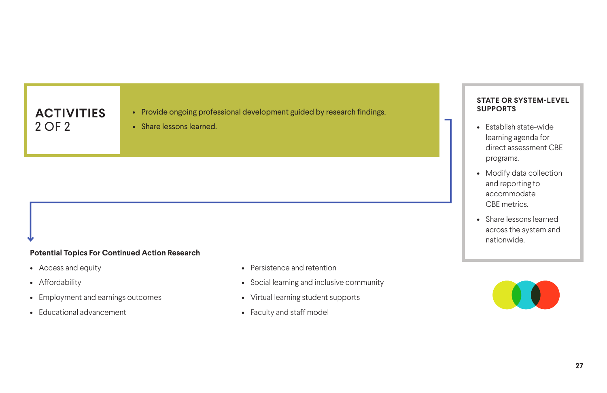### **Potential Topics For Continued Action Research**

- Access and equity
- Affordability
- Employment and earnings outcomes
- Educational advancement
- Persistence and retention
- Social learning and inclusive community
- Virtual learning student supports
- Faculty and staff model

## **ACTIVITIES** 2 OF 2

- Provide ongoing professional development guided by research findings.
- Share lessons learned. Establish state-wide
- learning agenda for direct assessment CBE programs.
- Modify data collection and reporting to accommodate CBE metrics.
- Share lessons learned across the system and nationwide.



### **STATE OR SYSTEM-LEVEL SUPPORTS**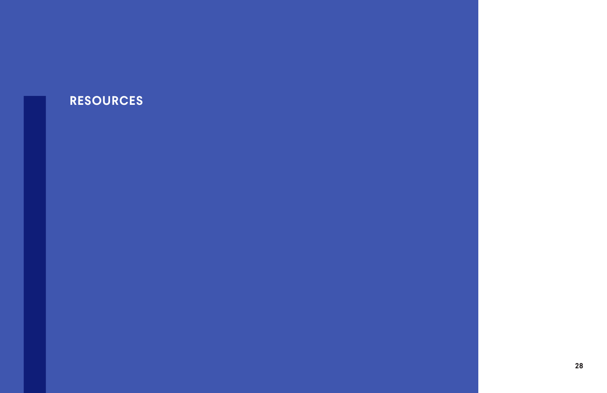## **RESOURCES**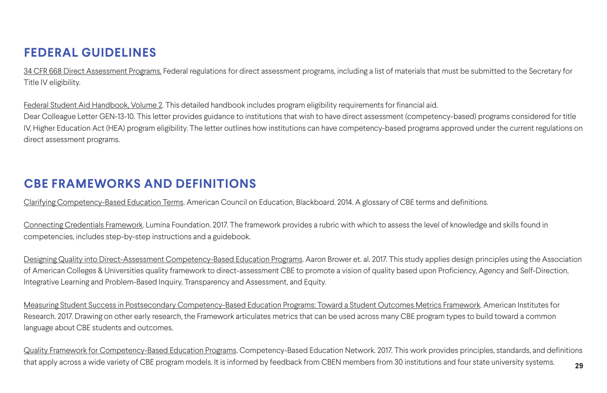[34 CFR 668 Direct Assessment Programs.](https://www.law.cornell.edu/cfr/text/34/668.10) Federal regulations for direct assessment programs, including a list of materials that must be submitted to the Secretary for Title IV eligibility.

[Federal Student Aid Handbook, Volume 2](https://ifap.ed.gov/federal-student-aid-handbook/1920fsahbkvol2). This detailed handbook includes program eligibility requirements for financial aid. Dear Colleague Letter GEN-13-10. This letter provides guidance to institutions that wish to have direct assessment (competency-based) programs considered for title IV, Higher Education Act (HEA) program eligibility. The letter outlines how institutions can have competency-based programs approved under the current regulations on direct assessment programs.

[Connecting Credentials Framework.](https://jobsforthefuture552.sharepoint.com/sites/caccguidedpathwaysservice/Shared%20Documents/4.%20Deliverables/Competency%20Based%20Education/Blueprint/The%20Framework%20provides%20a%20rubric%20with%20which%20to%20assess%20the%20level%20of%20knowledge%20and%20skills%20found%20in%20competencies.) Lumina Foundation. 2017. The framework provides a rubric with which to assess the level of knowledge and skills found in competencies, includes step-by-step instructions and a guidebook.

[Designing Quality into Direct-Assessment Competency-Based Education Programs.](https://onlinelibrary.wiley.com/doi/full/10.1002/cbe2.1043) Aaron Brower et. al. 2017. This study applies design principles using the Association of American Colleges & Universities quality framework to direct-assessment CBE to promote a vision of quality based upon Proficiency, Agency and Self-Direction, Integrative Learning and Problem-Based Inquiry, Transparency and Assessment, and Equity.

[Clarifying Competency-Based Education Terms.](http://bbbb.blackboard.com/Competency-based-education-definitions) American Council on Education, Blackboard. 2014. A glossary of CBE terms and definitions.

**29** [Quality Framework for Competency-Based Education Programs.](https://www.cbenetwork.org/wp-content/uploads/2018/09/Quality-Framework-for-Competency-Based-Education-Programs-Updated.pdf) Competency-Based Education Network. 2017. This work provides principles, standards, and definitions that apply across a wide variety of CBE program models. It is informed by feedback from CBEN members from 30 institutions and four state university systems.

[Measuring Student Success in Postsecondary Competency-Based Education Programs: Toward a Student Outcomes Metrics Framework](Measuring Student Success in Postsecondary Competency-Based Education Programs: Toward a Student Outcomes Metrics Framework.). American Institutes for Research. 2017. Drawing on other early research, the Framework articulates metrics that can be used across many CBE program types to build toward a common language about CBE students and outcomes.

## **FEDERAL GUIDELINES**

## **CBE FRAMEWORKS AND DEFINITIONS**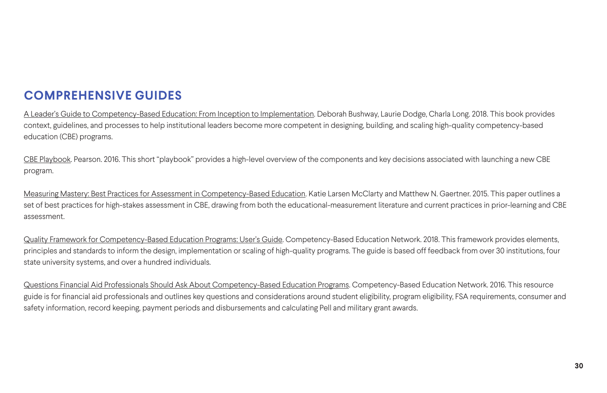[A Leader's Guide to Competency-Based Education: From Inception to Implementation.](https://www.amazon.com/Leaders-Guide-Competency-Based-Education-Implementation/dp/1620365936) Deborah Bushway, Laurie Dodge, Charla Long. 2018. This book provides context, guidelines, and processes to help institutional leaders become more competent in designing, building, and scaling high-quality competency-based education (CBE) programs.

[CBE Playbook](https://www.pearsoned.com/wp-content/uploads/INSTR111426_CBE_Playbook_Wht_Paper_WEB_f.pdf). Pearson. 2016. This short "playbook" provides a high-level overview of the components and key decisions associated with launching a new CBE program.

[Quality Framework for Competency-Based Education Programs: User's Guide](https://www.cbenetwork.org/wp-content/uploads/2018/09/2nd_button_Quality_Framework_Users_Guide_Final_.pdf)</u>. Competency-Based Education Network. 2018. This framework provides elements, principles and standards to inform the design, implementation or scaling of high-quality programs. The guide is based off feedback from over 30 institutions, four state university systems, and over a hundred individuals.

[Measuring Mastery: Best Practices for Assessment in Competency-Based Education.](https://www.luminafoundation.org/files/resources/measuring-mastery.pdf) Katie Larsen McClarty and Matthew N. Gaertner. 2015. This paper outlines a set of best practices for high-stakes assessment in CBE, drawing from both the educational-measurement literature and current practices in prior-learning and CBE assessment.

[Questions Financial Aid Professionals Should Ask About Competency-Based Education Programs.](http://static.politico.com/8b/6b/f889cc504fae973a3cdff0fd518f/questions-financial-aid-professionals-should-ask-about-competency-based-education-programs.pdf) Competency-Based Education Network. 2016. This resource guide is for financial aid professionals and outlines key questions and considerations around student eligibility, program eligibility, FSA requirements, consumer and safety information, record keeping, payment periods and disbursements and calculating Pell and military grant awards.

## **COMPREHENSIVE GUIDES**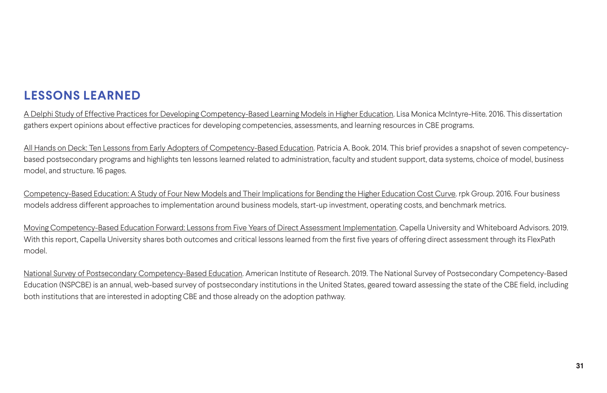[A Delphi Study of Effective Practices for Developing Competency-Based Learning Models in Higher Education](https://onlinelibrary.wiley.com/doi/full/10.1002/cbe2.1029). Lisa Monica McIntyre-Hite. 2016. This dissertation gathers expert opinions about effective practices for developing competencies, assessments, and learning resources in CBE programs.

[All Hands on Deck: Ten Lessons from Early Adopters of Competency-Based Education](https://eric.ed.gov/?id=ED546830)</u>. Patricia A. Book. 2014. This brief provides a snapshot of seven competencybased postsecondary programs and highlights ten lessons learned related to administration, faculty and student support, data systems, choice of model, business model, and structure. 16 pages.

[Competency-Based Education: A Study of Four New Models and Their Implications for Bending the Higher Education Cost Curve](http://rpkgroup.com/wp-content/uploads/2016/10/rpkgroup_cbe_business_model_report_20161018.pdf). rpk Group. 2016. Four business models address different approaches to implementation around business models, start-up investment, operating costs, and benchmark metrics.

[Moving Competency-Based Education Forward: Lessons from Five Years of Direct Assessment Implementation](https://www.capella.edu/content/dam/capella/PDF/moving-competency-based-education-forward.pdf). Capella University and Whiteboard Advisors. 2019. With this report, Capella University shares both outcomes and critical lessons learned from the first five years of offering direct assessment through its FlexPath model.

[National Survey of Postsecondary Competency-Based Education.](https://www.air.org/sites/default/files/National-Survey-of-Postsecondary-CBE-Lumina-October-2019-rev.pdf) American Institute of Research. 2019. The National Survey of Postsecondary Competency-Based Education (NSPCBE) is an annual, web-based survey of postsecondary institutions in the United States, geared toward assessing the state of the CBE field, including both institutions that are interested in adopting CBE and those already on the adoption pathway.

## **LESSONS LEARNED**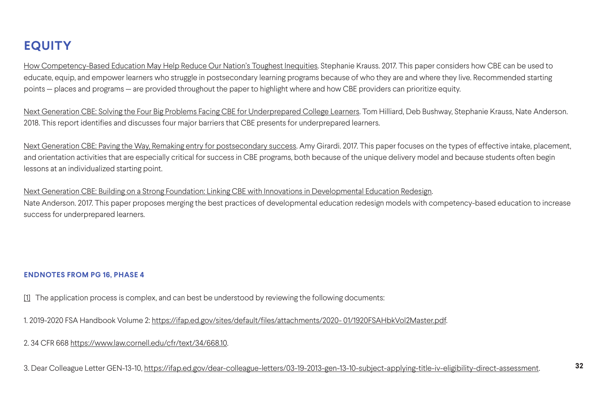[How Competency-Based Education May Help Reduce Our Nation's Toughest Inequities](https://www.luminafoundation.org/resource/how-competency-based-education-may-help-reduce-our-nations-toughest-inequities/). Stephanie Krauss. 2017. This paper considers how CBE can be used to educate, equip, and empower learners who struggle in postsecondary learning programs because of who they are and where they live. Recommended starting points — places and programs — are provided throughout the paper to highlight where and how CBE providers can prioritize equity.

[Next Generation CBE: Solving the Four Big Problems Facing CBE for Underprepared College Learners.](https://www.jff.org/resources/next-generation-cbe-designing-competency-based-education-underprepared-college-learners/) Tom Hilliard, Deb Bushway, Stephanie Krauss, Nate Anderson. 2018. This report identifies and discusses four major barriers that CBE presents for underprepared learners.

[Next Generation CBE: Paving the Way, Remaking entry for postsecondary success](https://eric.ed.gov/?id=ED588450)</u>. Amy Girardi. 2017. This paper focuses on the types of effective intake, placement, and orientation activities that are especially critical for success in CBE programs, both because of the unique delivery model and because students often begin lessons at an individualized starting point.

[Next Generation CBE: Building on a Strong Foundation: Linking CBE with Innovations in Developmental Education Redesign](https://www.jff.org/documents/737/CBE-2-080417.pdf). Nate Anderson. 2017. This paper proposes merging the best practices of developmental education redesign models with competency-based education to increase success for underprepared learners.

### **ENDNOTES FROM PG 16, PHASE 4**

[\[1\]](#page-15-0) The application process is complex, and can best be understood by reviewing the following documents:

1. 2019-2020 FSA Handbook Volume 2: [https://ifap.ed.gov/sites/default/files/attachments/2020- 01/1920FSAHbkVol2Master.pdf.](https://ifap.ed.gov/sites/default/files/attachments/2020- 01/1920FSAHbkVol2Master.pdf)

2. 34 CFR 668 [https://www.law.cornell.edu/cfr/text/34/668.10.](https://www.law.cornell.edu/cfr/text/34/668.10)

3. Dear Colleague Letter GEN-13-10, [https://ifap.ed.gov/dear-colleague-letters/03-19-2013-gen-13-10-subject-applying-title-iv-eligibility-direct-assessment](https://ifap.ed.gov/dear-colleague-letters/03-19-2013-gen-13-10-subject-applying-title-iv-eligibilit).

## <span id="page-31-0"></span>**EQUITY**